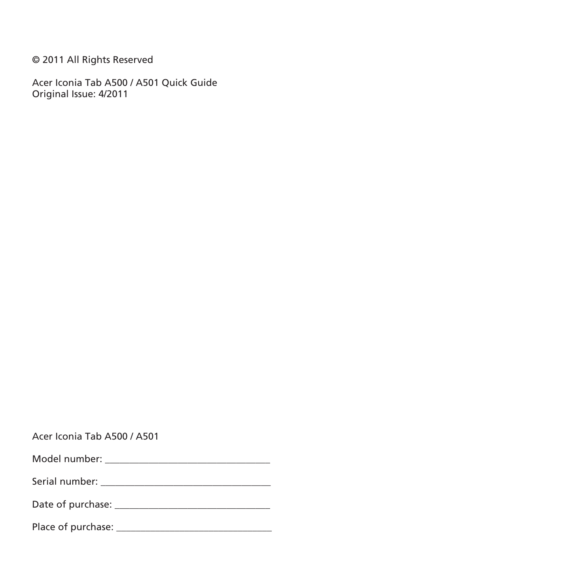© 2011 All Rights Reserved

Acer Iconia Tab A500 / A501 Quick Guide Original Issue: 4/2011

|  |  |  | Acer Iconia Tab A500 / A501 |  |
|--|--|--|-----------------------------|--|
|--|--|--|-----------------------------|--|

| Model number: |  |
|---------------|--|
|---------------|--|

Serial number: \_\_\_\_\_\_\_\_\_\_\_\_\_\_\_\_\_\_\_\_\_\_\_\_\_\_\_\_\_\_\_\_\_\_\_

|  | Date of purchase: |  |
|--|-------------------|--|
|--|-------------------|--|

Place of purchase: \_\_\_\_\_\_\_\_\_\_\_\_\_\_\_\_\_\_\_\_\_\_\_\_\_\_\_\_\_\_\_\_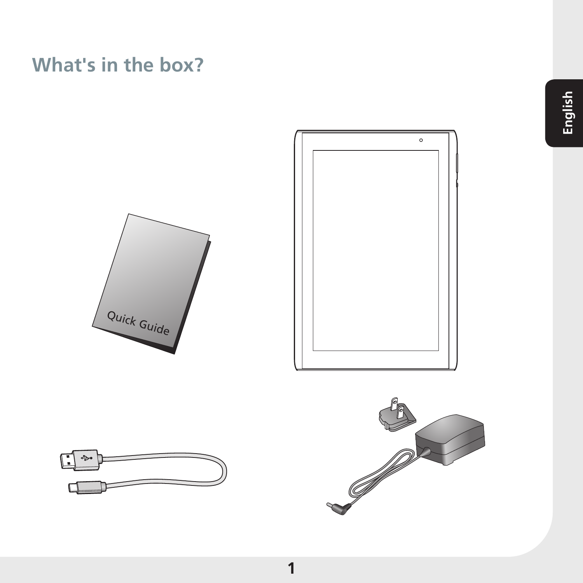### **What's in the box?**







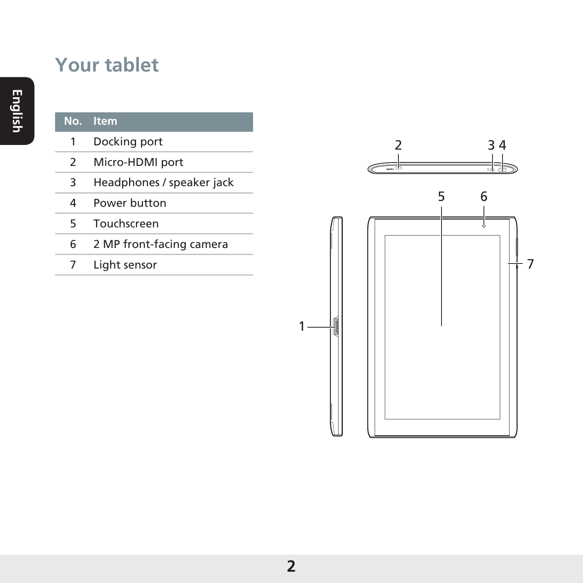### **Your tablet**

#### **No. Item** Docking port Micro-HDMI port Headphones / speaker jack Power button Touchscreen 2 MP front-facing camera Light sensor

J 

3 4

6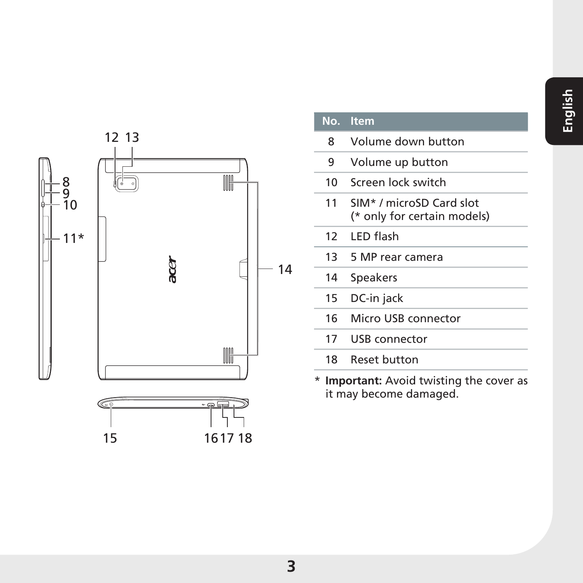

| Ν | tem |
|---|-----|
|   |     |
|   | ۰   |

- Volume down button
- Volume up button
- Screen lock switch
- SIM\* / microSD Card slot (\* only for certain models)
- LED flash
- 5 MP rear camera
- Speakers
- DC-in jack
- Micro USB connector
- USB connector
- Reset button
- \* **Important:** Avoid twisting the cover as it may become damaged.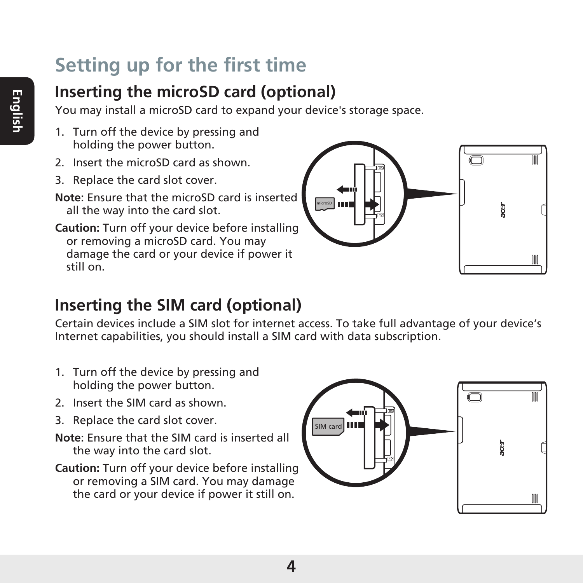# **Setting up for the first time**

### **Inserting the microSD card (optional)**

You may install a microSD card to expand your device's storage space.

- 1. Turn off the device by pressing and holding the power button.
- 2. Insert the microSD card as shown.
- 3. Replace the card slot cover.
- **Note:** Ensure that the microSD card is inserted all the way into the card slot.

**Caution:** Turn off your device before installing or removing a microSD card. You may damage the card or your device if power it still on.



#### **Inserting the SIM card (optional)**

Certain devices include a SIM slot for internet access. To take full advantage of your device's Internet capabilities, you should install a SIM card with data subscription.

- 1. Turn off the device by pressing and holding the power button.
- 2. Insert the SIM card as shown.
- 3. Replace the card slot cover.
- **Note:** Ensure that the SIM card is inserted all the way into the card slot.
- **Caution:** Turn off your device before installing or removing a SIM card. You may damage the card or your device if power it still on.

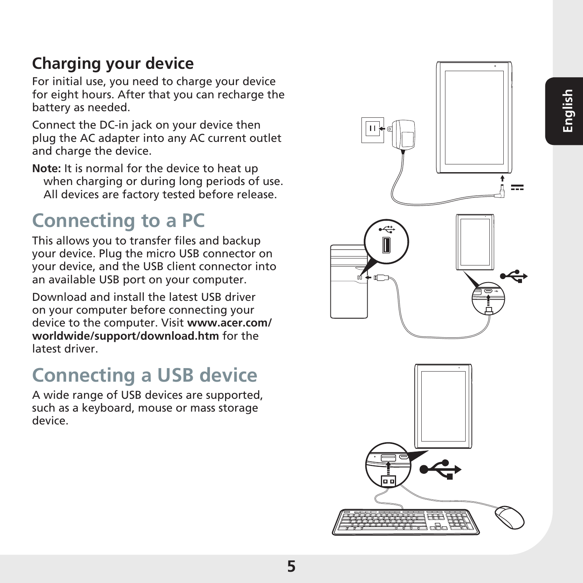### **Charging your device**

For initial use, you need to charge your device for eight hours. After that you can recharge the battery as needed.

Connect the DC-in jack on your device then plug the AC adapter into any AC current outlet and charge the device.

**Note:** It is normal for the device to heat up when charging or during long periods of use. All devices are factory tested before release.

## **Connecting to a PC**

This allows you to transfer files and backup your device. Plug the micro USB connector on your device, and the USB client connector into an available USB port on your computer.

Download and install the latest USB driver on your computer before connecting your device to the computer. Visit **www.acer.com/ worldwide/support/download.htm** for the latest driver.

## **Connecting a USB device**

A wide range of USB devices are supported, such as a keyboard, mouse or mass storage device.

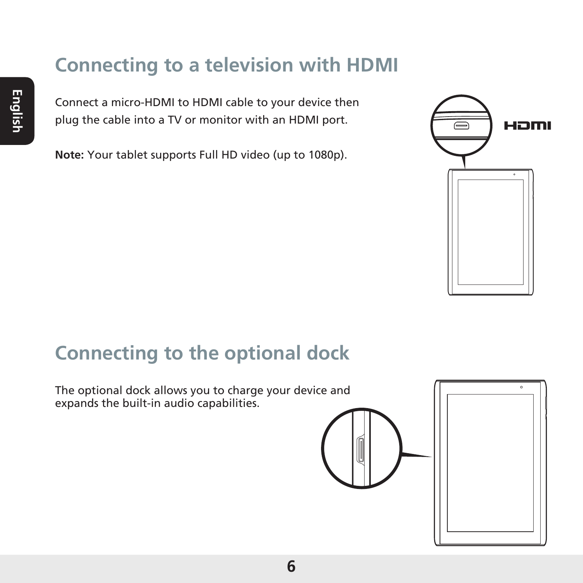### **Connecting to a television with HDMI**

Connect a micro-HDMI to HDMI cable to your device then plug the cable into a TV or monitor with an HDMI port.

**Note:** Your tablet supports Full HD video (up to 1080p).



### **Connecting to the optional dock**

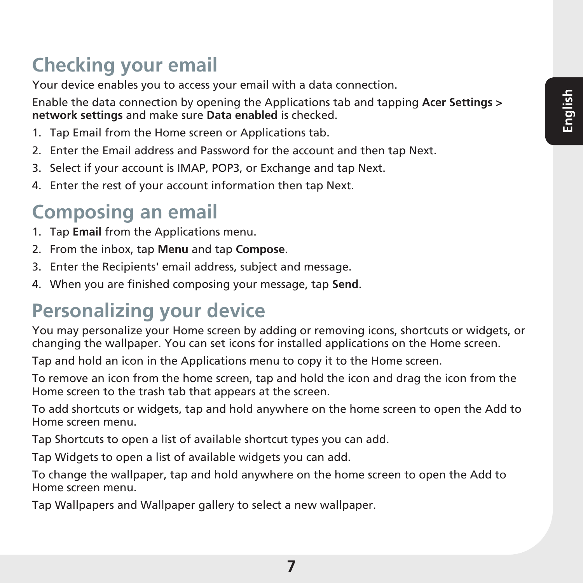# **Checking your email**

Your device enables you to access your email with a data connection.

Enable the data connection by opening the Applications tab and tapping **Acer Settings > network settings** and make sure **Data enabled** is checked.

- 1. Tap Email from the Home screen or Applications tab.
- 2. Enter the Email address and Password for the account and then tap Next.
- 3. Select if your account is IMAP, POP3, or Exchange and tap Next.
- 4. Enter the rest of your account information then tap Next.

### **Composing an email**

- 1. Tap **Email** from the Applications menu.
- 2. From the inbox, tap **Menu** and tap **Compose**.
- 3. Enter the Recipients' email address, subject and message.
- 4. When you are finished composing your message, tap **Send**.

## **Personalizing your device**

You may personalize your Home screen by adding or removing icons, shortcuts or widgets, or changing the wallpaper. You can set icons for installed applications on the Home screen.

Tap and hold an icon in the Applications menu to copy it to the Home screen.

To remove an icon from the home screen, tap and hold the icon and drag the icon from the Home screen to the trash tab that appears at the screen.

To add shortcuts or widgets, tap and hold anywhere on the home screen to open the Add to Home screen menu.

Tap Shortcuts to open a list of available shortcut types you can add.

Tap Widgets to open a list of available widgets you can add.

To change the wallpaper, tap and hold anywhere on the home screen to open the Add to Home screen menu.

Tap Wallpapers and Wallpaper gallery to select a new wallpaper.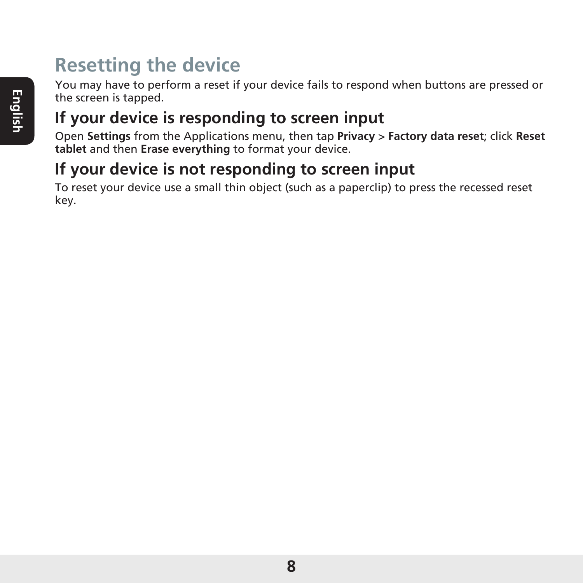## **Resetting the device**

You may have to perform a reset if your device fails to respond when buttons are pressed or the screen is tapped.

### **If your device is responding to screen input**

Open **Settings** from the Applications menu, then tap **Privacy** > **Factory data reset**; click **Reset tablet** and then **Erase everything** to format your device.

#### **If your device is not responding to screen input**

To reset your device use a small thin object (such as a paperclip) to press the recessed reset key.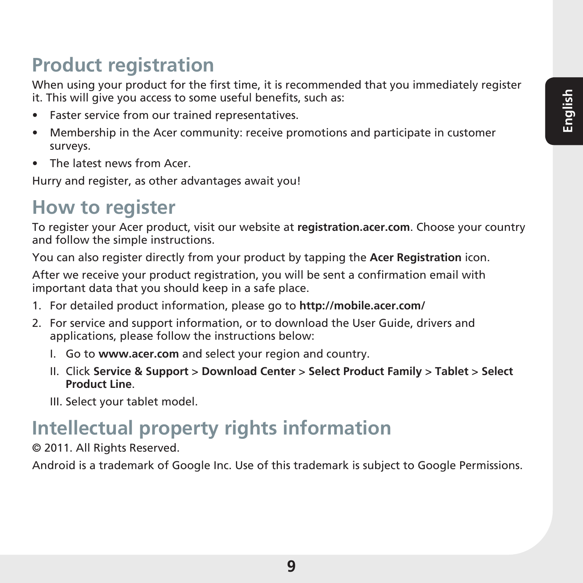## **Product registration**

When using your product for the first time, it is recommended that you immediately register it. This will give you access to some useful benefits, such as:

- Faster service from our trained representatives.
- • Membership in the Acer community: receive promotions and participate in customer surveys.
- • The latest news from Acer.

Hurry and register, as other advantages await you!

### **How to register**

To register your Acer product, visit our website at **registration.acer.com**. Choose your country and follow the simple instructions.

You can also register directly from your product by tapping the **Acer Registration** icon.

After we receive your product registration, you will be sent a confirmation email with important data that you should keep in a safe place.

- 1. For detailed product information, please go to **http://mobile.acer.com/**
- 2. For service and support information, or to download the User Guide, drivers and applications, please follow the instructions below:
	- I. Go to **www.acer.com** and select your region and country.
	- II. Click **Service & Support** > **Download Center** > **Select Product Family** > **Tablet** > **Select Product Line**.
	- III. Select your tablet model.

## **Intellectual property rights information**

© 2011. All Rights Reserved.

Android is a trademark of Google Inc. Use of this trademark is subject to Google Permissions.